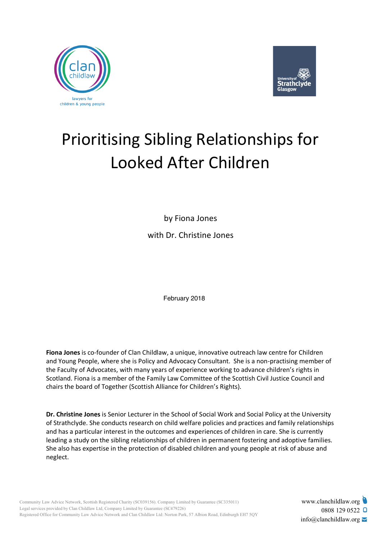



# Prioritising Sibling Relationships for Looked After Children

by Fiona Jones with Dr. Christine Jones

February 2018

**Fiona Jones** is co-founder of Clan Childlaw, a unique, innovative outreach law centre for Children and Young People, where she is Policy and Advocacy Consultant. She is a non-practising member of the Faculty of Advocates, with many years of experience working to advance children's rights in Scotland. Fiona is a member of the Family Law Committee of the Scottish Civil Justice Council and chairs the board of Together (Scottish Alliance for Children's Rights).

**Dr. Christine Jones** is Senior Lecturer in the School of Social Work and Social Policy at the University of Strathclyde. She conducts research on child welfare policies and practices and family relationships and has a particular interest in the outcomes and experiences of children in care. She is currently leading a study on the sibling relationships of children in permanent fostering and adoptive families. She also has expertise in the protection of disabled children and young people at risk of abuse and neglect.

www.clanchildlaw.org 0808 129 0522 Q  $info@$ clanchildlaw.org  $\geq$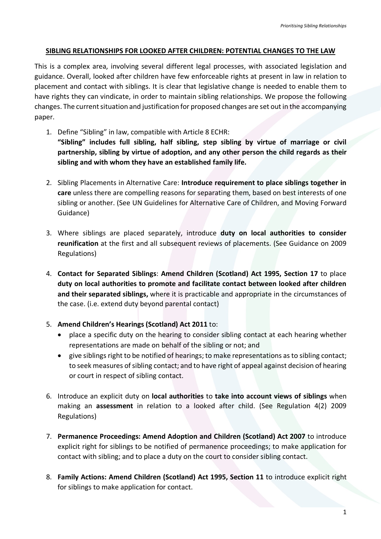#### **SIBLING RELATIONSHIPS FOR LOOKED AFTER CHILDREN: POTENTIAL CHANGES TO THE LAW**

This is a complex area, involving several different legal processes, with associated legislation and guidance. Overall, looked after children have few enforceable rights at present in law in relation to placement and contact with siblings. It is clear that legislative change is needed to enable them to have rights they can vindicate, in order to maintain sibling relationships. We propose the following changes. The current situation and justification for proposed changes are set out in the accompanying paper.

- 1. Define "Sibling" in law, compatible with Article 8 ECHR: **"Sibling" includes full sibling, half sibling, step sibling by virtue of marriage or civil partnership, sibling by virtue of adoption, and any other person the child regards as their sibling and with whom they have an established family life.**
- 2. Sibling Placements in Alternative Care: **Introduce requirement to place siblings together in care** unless there are compelling reasons for separating them, based on best interests of one sibling or another. (See UN Guidelines for Alternative Care of Children, and Moving Forward Guidance)
- 3. Where siblings are placed separately, introduce **duty on local authorities to consider reunification** at the first and all subsequent reviews of placements. (See Guidance on 2009 Regulations)
- 4. **Contact for Separated Siblings**: **Amend Children (Scotland) Act 1995, Section 17** to place **duty on local authorities to promote and facilitate contact between looked after children and their separated siblings,** where it is practicable and appropriate in the circumstances of the case. (i.e. extend duty beyond parental contact)
- 5. **Amend Children's Hearings (Scotland) Act 2011** to:
	- place a specific duty on the hearing to consider sibling contact at each hearing whether representations are made on behalf of the sibling or not; and
	- give siblings right to be notified of hearings; to make representations as to sibling contact; to seek measures of sibling contact; and to have right of appeal against decision of hearing or court in respect of sibling contact.
- 6. Introduce an explicit duty on **local authorities** to **take into account views of siblings** when making an **assessment** in relation to a looked after child. (See Regulation 4(2) 2009 Regulations)
- 7. **Permanence Proceedings: Amend Adoption and Children (Scotland) Act 2007** to introduce explicit right for siblings to be notified of permanence proceedings; to make application for contact with sibling; and to place a duty on the court to consider sibling contact.
- 8. **Family Actions: Amend Children (Scotland) Act 1995, Section 11** to introduce explicit right for siblings to make application for contact.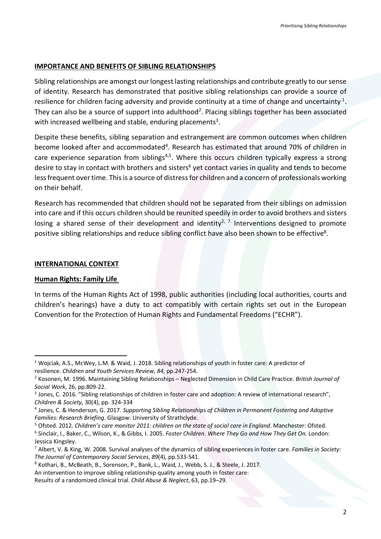#### **IMPORTANCE AND BENEFITS OF SIBLING RELATIONSHIPS**

Sibling relationships are amongst our longest lasting relationships and contribute greatly to our sense of identity. Research has demonstrated that positive sibling relationships can provide a source of resilience for children facing adversity and provide continuity at a time of change and uncertainty<sup>1</sup>. They can also be a source of support into adulthood<sup>2</sup>. Placing siblings together has been associated with increased wellbeing and stable, enduring placements<sup>3</sup>.

Despite these benefits, sibling separation and estrangement are common outcomes when children become looked after and accommodated<sup>4</sup>. Research has estimated that around 70% of children in care experience separation from siblings<sup>4,5</sup>. Where this occurs children typically express a strong desire to stay in contact with brothers and sisters<sup>6</sup> yet contact varies in quality and tends to become less frequent over time. This is a source of distress for children and a concern of professionals working on their behalf.

Research has recommended that children should not be separated from their siblings on admission into care and if this occurs children should be reunited speedily in order to avoid brothers and sisters losing a shared sense of their development and identity<sup>2, 7.</sup> Interventions designed to promote positive sibling relationships and reduce sibling conflict have also been shown to be effective<sup>8</sup>.

#### **INTERNATIONAL CONTEXT**

#### **Human Rights: Family Life**

In terms of the Human Rights Act of 1998, public authorities (including local authorities, courts and children's hearings) have a duty to act compatibly with certain rights set out in the European Convention for the Protection of Human Rights and Fundamental Freedoms ("ECHR").

 <sup>1</sup> Wojciak, A.S., McWey, L.M. & Waid, J. 2018. Sibling relationships of youth in foster care: A predictor of resilience. *Children and Youth Services Review*, *84*, pp.247-254.

<sup>2</sup> Kosonen, M. 1996. Maintaining Sibling Relationships – Neglected Dimension in Child Care Practice. *British Journal of Social Work*, 26, pp.809-22.

<sup>&</sup>lt;sup>3</sup> Jones, C. 2016. "Sibling relationships of children in foster care and adoption: A review of international research", *Children & Society,* 30(4), pp. 324-334

<sup>4</sup> Jones, C. & Henderson, G. 2017. *Supporting Sibling Relationships of Children in Permanent Fostering and Adoptive Families: Research Briefing*. Glasgow: University of Strathclyde.

<sup>&</sup>lt;sup>5</sup> Ofsted. 2012. Children's care monitor 2011: children on the state of social care in England. Manchester: Ofsted.<br><sup>6</sup> Sinclair, I., Baker, C., Wilson, K., & Gibbs, I. 2005. Foster Children. Where They Go and How They Ge Jessica Kingsley.

<sup>7</sup> Albert, V. & King, W. 2008. Survival analyses of the dynamics of sibling experiences in foster care. *Families in Society: The Journal of Contemporary Social Services*, *89*(4), pp.533-541.

<sup>8</sup> Kothari, B., McBeath, B., Sorenson, P., Bank, L., Waid, J., Webb, S. J., & Steele, J. 2017.

An intervention to improve sibling relationship quality among youth in foster care:

Results of a randomized clinical trial. *Child Abuse & Neglect*, 63, pp.19–29.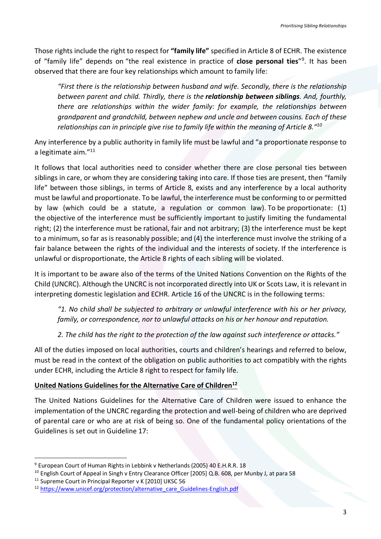Those rights include the right to respect for **"family life"** specified in Article 8 of ECHR. The existence of "family life" depends on "the real existence in practice of **close personal ties**"9 . It has been observed that there are four key relationships which amount to family life:

*"First there is the relationship between husband and wife. Secondly, there is the relationship between parent and child. Thirdly, there is the relationship between siblings. And, fourthly, there are relationships within the wider family: for example, the relationships between grandparent and grandchild, between nephew and uncle and between cousins. Each of these relationships can in principle give rise to family life within the meaning of Article 8."10*

Any interference by a public authority in family life must be lawful and "a proportionate response to a legitimate aim."11

It follows that local authorities need to consider whether there are close personal ties between siblings in care, or whom they are considering taking into care. If those ties are present, then "family life" between those siblings, in terms of Article 8, exists and any interference by a local authority must be lawful and proportionate. To be lawful, the interference must be conforming to or permitted by law (which could be a statute, a regulation or common law). To be proportionate: (1) the objective of the interference must be sufficiently important to justify limiting the fundamental right; (2) the interference must be rational, fair and not arbitrary; (3) the interference must be kept to a minimum, so far as is reasonably possible; and (4) the interference must involve the striking of a fair balance between the rights of the individual and the interests of society. If the interference is unlawful or disproportionate, the Article 8 rights of each sibling will be violated.

It is important to be aware also of the terms of the United Nations Convention on the Rights of the Child (UNCRC). Although the UNCRC is not incorporated directly into UK or Scots Law, it is relevant in interpreting domestic legislation and ECHR. Article 16 of the UNCRC is in the following terms:

*"1. No child shall be subjected to arbitrary or unlawful interference with his or her privacy, family, or correspondence, nor to unlawful attacks on his or her honour and reputation.*

*2. The child has the right to the protection of the law against such interference or attacks."*

All of the duties imposed on local authorities, courts and children's hearings and referred to below, must be read in the context of the obligation on public authorities to act compatibly with the rights under ECHR, including the Article 8 right to respect for family life.

#### **United Nations Guidelines for the Alternative Care of Children12**

The United Nations Guidelines for the Alternative Care of Children were issued to enhance the implementation of the UNCRC regarding the protection and well-being of children who are deprived of parental care or who are at risk of being so. One of the fundamental policy orientations of the Guidelines is set out in Guideline 17:

 <sup>9</sup> European Court of Human Rights in Lebbink v Netherlands (2005) 40 E.H.R.R. 18

<sup>&</sup>lt;sup>10</sup> English Court of Appeal in Singh v Entry Clearance Officer [2005] Q.B. 608, per Munby J, at para 58

<sup>&</sup>lt;sup>11</sup> Supreme Court in Principal Reporter v K [2010] UKSC 56

<sup>&</sup>lt;sup>12</sup> https://www.unicef.org/protection/alternative\_care\_Guidelines-English.pdf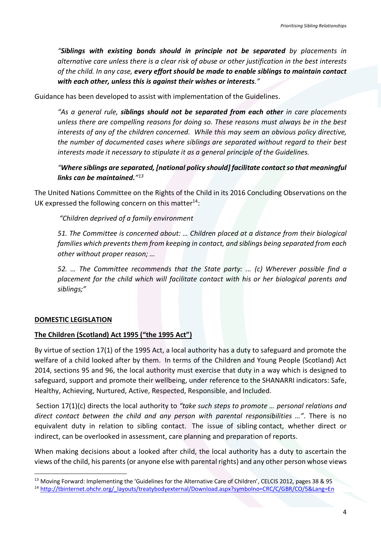*"Siblings with existing bonds should in principle not be separated by placements in alternative care unless there is a clear risk of abuse or other justification in the best interests of the child. In any case, every effort should be made to enable siblings to maintain contact with each other, unless this is against their wishes or interests."* 

Guidance has been developed to assist with implementation of the Guidelines.

*"As a general rule, siblings should not be separated from each other in care placements unless there are compelling reasons for doing so. These reasons must always be in the best interests of any of the children concerned. While this may seem an obvious policy directive, the number of documented cases where siblings are separated without regard to their best interests made it necessary to stipulate it as a general principle of the Guidelines.*

## *"Where siblings are separated, [national policy should] facilitate contact so that meaningful links can be maintained."13*

The United Nations Committee on the Rights of the Child in its 2016 Concluding Observations on the UK expressed the following concern on this matter $^{14}$ :

# *"Children deprived of a family environment*

*51. The Committee is concerned about: … Children placed at a distance from their biological families which prevents them from keeping in contact, and siblings being separated from each other without proper reason; …*

*52. … The Committee recommends that the State party: ... (c) Wherever possible find a placement for the child which will facilitate contact with his or her biological parents and siblings;"*

#### **DOMESTIC LEGISLATION**

#### **The Children (Scotland) Act 1995 ("the 1995 Act")**

By virtue of section 17(1) of the 1995 Act, a local authority has a duty to safeguard and promote the welfare of a child looked after by them. In terms of the Children and Young People (Scotland) Act 2014, sections 95 and 96, the local authority must exercise that duty in a way which is designed to safeguard, support and promote their wellbeing, under reference to the SHANARRI indicators: Safe, Healthy, Achieving, Nurtured, Active, Respected, Responsible, and Included.

Section 17(1)(c) directs the local authority to *"take such steps to promote … personal relations and direct contact between the child and any person with parental responsibilities …"*. There is no equivalent duty in relation to sibling contact. The issue of sibling contact, whether direct or indirect, can be overlooked in assessment, care planning and preparation of reports.

When making decisions about a looked after child, the local authority has a duty to ascertain the views of the child, his parents (or anyone else with parental rights) and any other person whose views

<sup>&</sup>lt;sup>13</sup> Moving Forward: Implementing the 'Guidelines for the Alternative Care of Children', CELCIS 2012, pages 38 & 95

<sup>14</sup> http://tbinternet.ohchr.org/\_layouts/treatybodyexternal/Download.aspx?symbolno=CRC/C/GBR/CO/5&Lang=En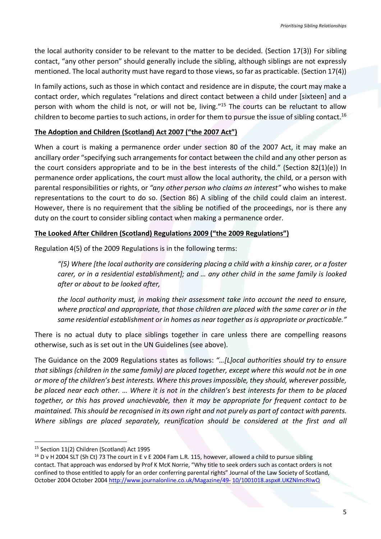the local authority consider to be relevant to the matter to be decided. (Section 17(3)) For sibling contact, "any other person" should generally include the sibling, although siblings are not expressly mentioned. The local authority must have regard to those views, so far as practicable. (Section 17(4))

In family actions, such as those in which contact and residence are in dispute, the court may make a contact order, which regulates "relations and direct contact between a child under [sixteen] and a person with whom the child is not, or will not be, living."15 The courts can be reluctant to allow children to become parties to such actions, in order for them to pursue the issue of sibling contact.16

## **The Adoption and Children (Scotland) Act 2007 ("the 2007 Act")**

When a court is making a permanence order under section 80 of the 2007 Act, it may make an ancillary order "specifying such arrangements for contact between the child and any other person as the court considers appropriate and to be in the best interests of the child." (Section 82(1)(e)) In permanence order applications, the court must allow the local authority, the child, or a person with parental responsibilities or rights, or *"any other person who claims an interest"* who wishes to make representations to the court to do so. (Section 86) A sibling of the child could claim an interest. However, there is no requirement that the sibling be notified of the proceedings, nor is there any duty on the court to consider sibling contact when making a permanence order.

# **The Looked After Children (Scotland) Regulations 2009 ("the 2009 Regulations")**

Regulation 4(5) of the 2009 Regulations is in the following terms:

*"(5) Where [the local authority are considering placing a child with a kinship carer, or a foster carer, or in a residential establishment]; and … any other child in the same family is looked after or about to be looked after,*

*the local authority must, in making their assessment take into account the need to ensure, where practical and appropriate, that those children are placed with the same carer or in the same residential establishment or in homes as near together as is appropriate or practicable."*

There is no actual duty to place siblings together in care unless there are compelling reasons otherwise, such as is set out in the UN Guidelines (see above).

The Guidance on the 2009 Regulations states as follows: *"…[L]ocal authorities should try to ensure that siblings (children in the same family) are placed together, except where this would not be in one or more of the children's best interests. Where this proves impossible, they should, wherever possible, be placed near each other. … Where it is not in the children's best interests for them to be placed together, or this has proved unachievable, then it may be appropriate for frequent contact to be maintained. This should be recognised in its own right and not purely as part of contact with parents. Where siblings are placed separately, reunification should be considered at the first and all* 

 <sup>15</sup> Section 11(2) Children (Scotland) Act 1995

 $16$  D v H 2004 SLT (Sh Ct) 73 The court in E v E 2004 Fam L.R. 115, however, allowed a child to pursue sibling contact. That approach was endorsed by Prof K McK Norrie, "Why title to seek orders such as contact orders is not confined to those entitled to apply for an order conferring parental rights" Journal of the Law Society of Scotland, October 2004 October 2004 http://www.journalonline.co.uk/Magazine/49- 10/1001018.aspx#.UKZNlmcRIwQ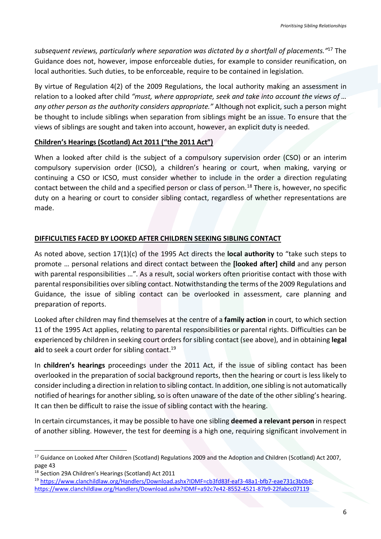*subsequent reviews, particularly where separation was dictated by a shortfall of placements."*<sup>17</sup> The Guidance does not, however, impose enforceable duties, for example to consider reunification, on local authorities. Such duties, to be enforceable, require to be contained in legislation.

By virtue of Regulation 4(2) of the 2009 Regulations, the local authority making an assessment in relation to a looked after child *"must, where appropriate, seek and take into account the views of … any other person as the authority considers appropriate."* Although not explicit, such a person might be thought to include siblings when separation from siblings might be an issue. To ensure that the views of siblings are sought and taken into account, however, an explicit duty is needed.

#### **Children's Hearings (Scotland) Act 2011 ("the 2011 Act")**

When a looked after child is the subject of a compulsory supervision order (CSO) or an interim compulsory supervision order (ICSO), a children's hearing or court, when making, varying or continuing a CSO or ICSO, must consider whether to include in the order a direction regulating contact between the child and a specified person or class of person.<sup>18</sup> There is, however, no specific duty on a hearing or court to consider sibling contact, regardless of whether representations are made.

# **DIFFICULTIES FACED BY LOOKED AFTER CHILDREN SEEKING SIBLING CONTACT**

As noted above, section 17(1)(c) of the 1995 Act directs the **local authority** to "take such steps to promote … personal relations and direct contact between the **[looked after] child** and any person with parental responsibilities …". As a result, social workers often prioritise contact with those with parental responsibilities over sibling contact. Notwithstanding the terms of the 2009 Regulations and Guidance, the issue of sibling contact can be overlooked in assessment, care planning and preparation of reports.

Looked after children may find themselves at the centre of a **family action** in court, to which section 11 of the 1995 Act applies, relating to parental responsibilities or parental rights. Difficulties can be experienced by children in seeking court orders for sibling contact (see above), and in obtaining **legal**  aid to seek a court order for sibling contact.<sup>19</sup>

In **children's hearings** proceedings under the 2011 Act, if the issue of sibling contact has been overlooked in the preparation of social background reports, then the hearing or court is less likely to consider including a direction in relation to sibling contact. In addition, one sibling is not automatically notified of hearings for another sibling, so is often unaware of the date of the other sibling's hearing. It can then be difficult to raise the issue of sibling contact with the hearing.

In certain circumstances, it may be possible to have one sibling **deemed a relevant person** in respect of another sibling. However, the test for deeming is a high one, requiring significant involvement in

<sup>&</sup>lt;sup>17</sup> Guidance on Looked After Children (Scotland) Regulations 2009 and the Adoption and Children (Scotland) Act 2007, page 43

<sup>18</sup> Section 29A Children's Hearings (Scotland) Act 2011

<sup>19</sup> https://www.clanchildlaw.org/Handlers/Download.ashx?IDMF=cb3fd83f-eaf3-48a1-bfb7-eae731c3b0b8; https://www.clanchildlaw.org/Handlers/Download.ashx?IDMF=a92c7e42-8552-4521-87b9-22fabcc07119